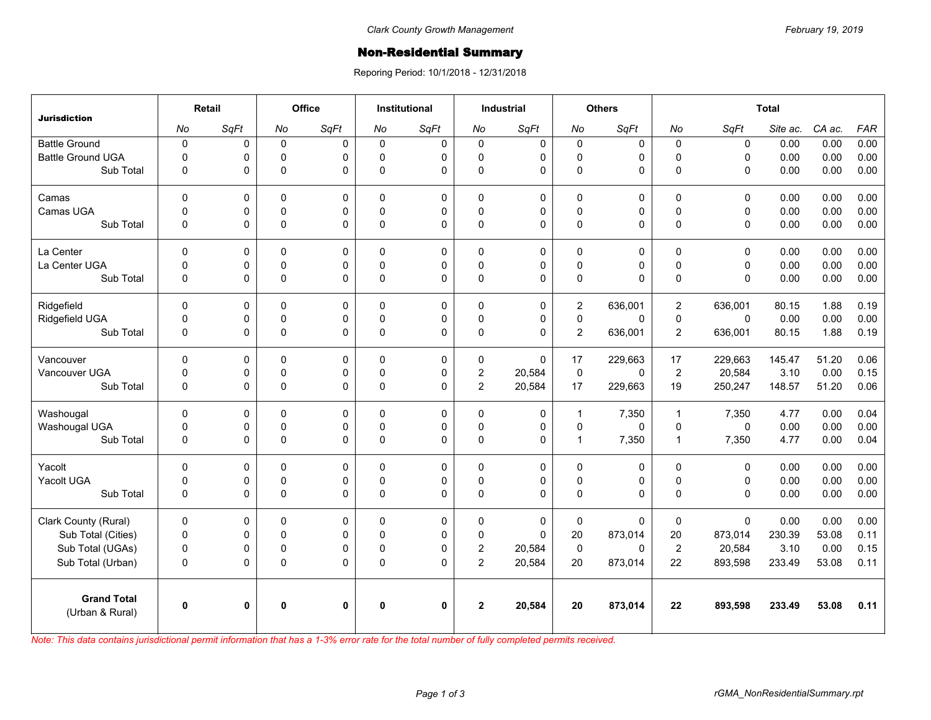## Non-Residential Summary

Reporing Period: 10/1/2018 - 12/31/2018

| <b>Jurisdiction</b>                   | Retail      |              | <b>Office</b> |              | <b>Institutional</b> |      | <b>Industrial</b> |             | <b>Others</b>  |          | <b>Total</b>   |              |          |        |            |
|---------------------------------------|-------------|--------------|---------------|--------------|----------------------|------|-------------------|-------------|----------------|----------|----------------|--------------|----------|--------|------------|
|                                       | No          | SqFt         | No            | SqFt         | No                   | SqFt | No                | SqFt        | No             | SqFt     | No             | SqFt         | Site ac. | CA ac. | <b>FAR</b> |
| <b>Battle Ground</b>                  | $\pmb{0}$   | 0            | $\mathbf 0$   | $\mathbf 0$  | $\Omega$             | 0    | $\mathbf 0$       | $\pmb{0}$   | $\mathbf 0$    | 0        | $\mathbf 0$    | $\mathsf 0$  | 0.00     | 0.00   | 0.00       |
| <b>Battle Ground UGA</b>              | $\Omega$    | 0            | $\Omega$      | 0            | $\Omega$             | 0    | $\mathbf 0$       | $\mathbf 0$ | 0              | 0        | $\Omega$       | $\Omega$     | 0.00     | 0.00   | 0.00       |
| Sub Total                             | $\mathbf 0$ | 0            | $\mathbf 0$   | $\Omega$     | $\Omega$             | 0    | 0                 | $\Omega$    | $\mathbf 0$    | 0        | $\Omega$       | $\mathbf 0$  | 0.00     | 0.00   | 0.00       |
| Camas                                 | $\mathbf 0$ | 0            | 0             | 0            | $\Omega$             | 0    | $\mathbf 0$       | $\mathbf 0$ | 0              | 0        | $\Omega$       | $\mathbf 0$  | 0.00     | 0.00   | 0.00       |
| Camas UGA                             | $\mathbf 0$ | 0            | $\mathbf 0$   | $\mathbf 0$  | $\Omega$             | 0    | $\mathbf 0$       | $\pmb{0}$   | 0              | 0        | $\Omega$       | $\mathbf 0$  | 0.00     | 0.00   | 0.00       |
| Sub Total                             | $\mathbf 0$ | 0            | 0             | $\mathbf 0$  | $\Omega$             | 0    | 0                 | $\mathbf 0$ | 0              | 0        | $\Omega$       | $\mathbf 0$  | 0.00     | 0.00   | 0.00       |
| La Center                             | $\Omega$    | 0            | $\Omega$      | $\mathbf 0$  | $\Omega$             | 0    | $\mathbf 0$       | $\mathbf 0$ | 0              | 0        | $\mathbf{0}$   | $\mathbf{0}$ | 0.00     | 0.00   | 0.00       |
| La Center UGA                         | $\mathbf 0$ | 0            | 0             | $\pmb{0}$    | $\Omega$             | 0    | 0                 | $\pmb{0}$   | $\mathsf 0$    | 0        | $\Omega$       | $\mathbf 0$  | 0.00     | 0.00   | 0.00       |
| Sub Total                             | $\Omega$    | 0            | $\mathbf 0$   | $\Omega$     | $\Omega$             | 0    | $\Omega$          | $\Omega$    | 0              | $\Omega$ | $\Omega$       | $\Omega$     | 0.00     | 0.00   | 0.00       |
| Ridgefield                            | $\Omega$    | 0            | $\Omega$      | $\mathbf 0$  | $\Omega$             | 0    | $\mathbf{0}$      | $\mathbf 0$ | $\overline{2}$ | 636,001  | $\overline{2}$ | 636,001      | 80.15    | 1.88   | 0.19       |
| Ridgefield UGA                        | $\mathbf 0$ | 0            | $\mathbf 0$   | $\pmb{0}$    | $\mathbf 0$          | 0    | 0                 | $\mathsf 0$ | $\pmb{0}$      | 0        | $\mathbf 0$    | $\mathsf 0$  | 0.00     | 0.00   | 0.00       |
| Sub Total                             | $\Omega$    | 0            | 0             | $\Omega$     | $\Omega$             | 0    | $\mathbf 0$       | $\Omega$    | $\overline{2}$ | 636,001  | $\overline{2}$ | 636,001      | 80.15    | 1.88   | 0.19       |
| Vancouver                             | $\Omega$    | 0            | $\Omega$      | $\mathbf 0$  | $\Omega$             | 0    | 0                 | $\Omega$    | 17             | 229,663  | 17             | 229,663      | 145.47   | 51.20  | 0.06       |
| Vancouver UGA                         | $\mathbf 0$ | 0            | 0             | $\mathbf 0$  | $\mathbf{0}$         | 0    | $\overline{2}$    | 20,584      | $\pmb{0}$      | $\Omega$ | $\overline{2}$ | 20,584       | 3.10     | 0.00   | 0.15       |
| Sub Total                             | $\mathbf 0$ | 0            | $\mathbf 0$   | $\mathbf 0$  | $\Omega$             | 0    | $\overline{2}$    | 20,584      | 17             | 229,663  | 19             | 250,247      | 148.57   | 51.20  | 0.06       |
| Washougal                             | $\mathbf 0$ | 0            | 0             | 0            | $\Omega$             | 0    | $\mathbf 0$       | 0           | $\mathbf{1}$   | 7,350    | $\overline{1}$ | 7,350        | 4.77     | 0.00   | 0.04       |
| Washougal UGA                         | $\mathbf 0$ | 0            | 0             | 0            | $\Omega$             | 0    | 0                 | $\mathbf 0$ | 0              | 0        | $\mathbf{0}$   | $\Omega$     | 0.00     | 0.00   | 0.00       |
| Sub Total                             | $\mathbf 0$ | 0            | 0             | $\pmb{0}$    | 0                    | 0    | 0                 | $\pmb{0}$   | $\mathbf{1}$   | 7,350    | $\mathbf{1}$   | 7,350        | 4.77     | 0.00   | 0.04       |
| Yacolt                                | 0           | 0            | $\Omega$      | 0            | $\Omega$             | 0    | $\mathbf 0$       | $\mathbf 0$ | 0              | 0        | $\mathbf{0}$   | $\mathbf 0$  | 0.00     | 0.00   | 0.00       |
| Yacolt UGA                            | $\mathbf 0$ | 0            | $\Omega$      | $\mathbf 0$  | $\Omega$             | 0    | $\Omega$          | $\mathbf 0$ | 0              | 0        | $\mathbf{0}$   | $\Omega$     | 0.00     | 0.00   | 0.00       |
| Sub Total                             | $\Omega$    | 0            | $\mathbf 0$   | $\Omega$     | $\Omega$             | 0    | $\Omega$          | $\Omega$    | 0              | $\Omega$ | $\Omega$       | $\Omega$     | 0.00     | 0.00   | 0.00       |
| Clark County (Rural)                  | $\mathbf 0$ | 0            | $\Omega$      | 0            | $\Omega$             | 0    | $\mathbf 0$       | 0           | 0              | 0        | $\mathbf 0$    | $\Omega$     | 0.00     | 0.00   | 0.00       |
| Sub Total (Cities)                    | $\pmb{0}$   | 0            | 0             | $\mathbf 0$  | $\mathbf 0$          | 0    | 0                 | $\pmb{0}$   | 20             | 873,014  | 20             | 873,014      | 230.39   | 53.08  | 0.11       |
| Sub Total (UGAs)                      | $\mathbf 0$ | 0            | 0             | 0            | $\Omega$             | 0    | $\overline{c}$    | 20,584      | $\pmb{0}$      | 0        | $\overline{2}$ | 20,584       | 3.10     | 0.00   | 0.15       |
| Sub Total (Urban)                     | $\pmb{0}$   | 0            | 0             | $\Omega$     | $\Omega$             | 0    | $\overline{2}$    | 20,584      | 20             | 873,014  | 22             | 893,598      | 233.49   | 53.08  | 0.11       |
| <b>Grand Total</b><br>(Urban & Rural) | $\mathbf 0$ | $\mathbf{0}$ | $\bf{0}$      | $\mathbf{0}$ | $\bf{0}$             | 0    | $\mathbf{2}$      | 20,584      | 20             | 873,014  | 22             | 893,598      | 233.49   | 53.08  | 0.11       |

*Note: This data contains jurisdictional permit information that has a 1-3% error rate for the total number of fully completed permits received.*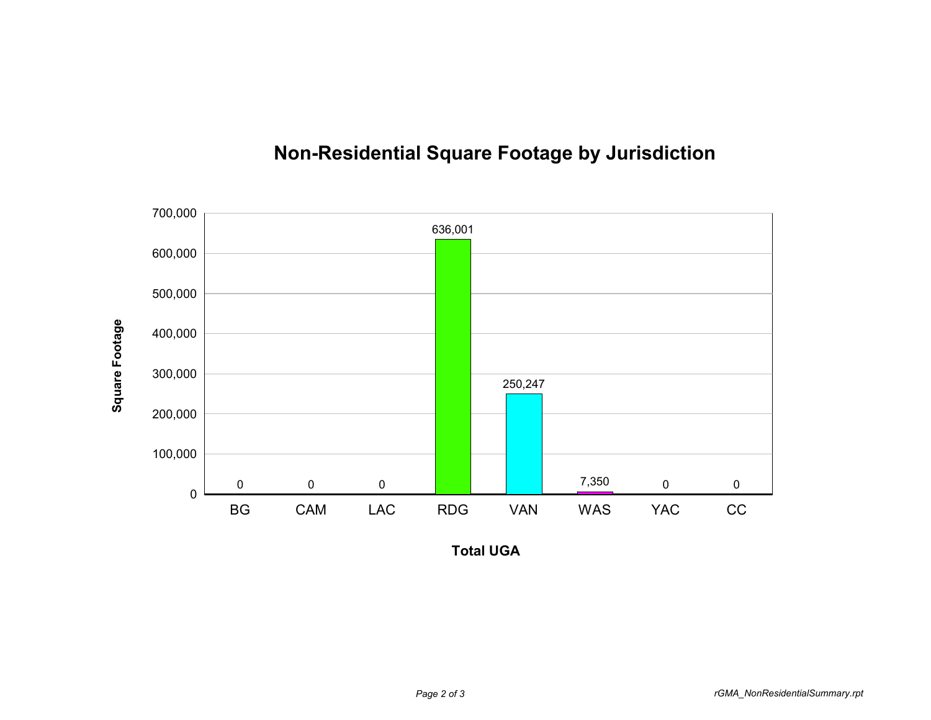

## **Non-Residential Square Footage by Jurisdiction**

**Total UGA**